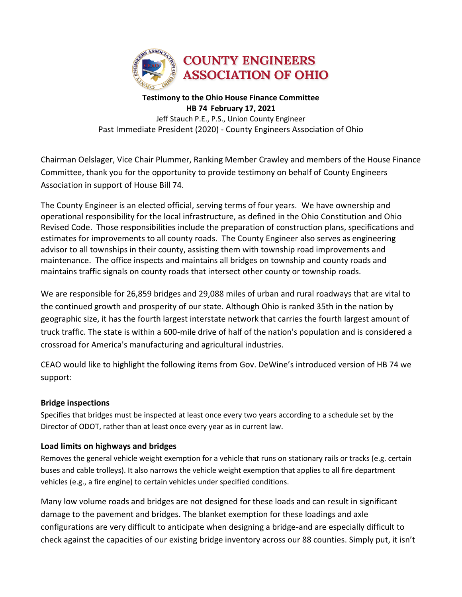

#### **Testimony to the Ohio House Finance Committee HB 74 February 17, 2021** Jeff Stauch P.E., P.S., Union County Engineer Past Immediate President (2020) - County Engineers Association of Ohio

Chairman Oelslager, Vice Chair Plummer, Ranking Member Crawley and members of the House Finance Committee, thank you for the opportunity to provide testimony on behalf of County Engineers Association in support of House Bill 74.

The County Engineer is an elected official, serving terms of four years. We have ownership and operational responsibility for the local infrastructure, as defined in the Ohio Constitution and Ohio Revised Code. Those responsibilities include the preparation of construction plans, specifications and estimates for improvements to all county roads. The County Engineer also serves as engineering advisor to all townships in their county, assisting them with township road improvements and maintenance. The office inspects and maintains all bridges on township and county roads and maintains traffic signals on county roads that intersect other county or township roads.

We are responsible for 26,859 bridges and 29,088 miles of urban and rural roadways that are vital to the continued growth and prosperity of our state. Although Ohio is ranked 35th in the nation by geographic size, it has the fourth largest interstate network that carries the fourth largest amount of truck traffic. The state is within a 600-mile drive of half of the nation's population and is considered a crossroad for America's manufacturing and agricultural industries.

CEAO would like to highlight the following items from Gov. DeWine's introduced version of HB 74 we support:

# **Bridge inspections**

Specifies that bridges must be inspected at least once every two years according to a schedule set by the Director of ODOT, rather than at least once every year as in current law.

# **Load limits on highways and bridges**

Removes the general vehicle weight exemption for a vehicle that runs on stationary rails or tracks (e.g. certain buses and cable trolleys). It also narrows the vehicle weight exemption that applies to all fire department vehicles (e.g., a fire engine) to certain vehicles under specified conditions.

Many low volume roads and bridges are not designed for these loads and can result in significant damage to the pavement and bridges. The blanket exemption for these loadings and axle configurations are very difficult to anticipate when designing a bridge-and are especially difficult to check against the capacities of our existing bridge inventory across our 88 counties. Simply put, it isn't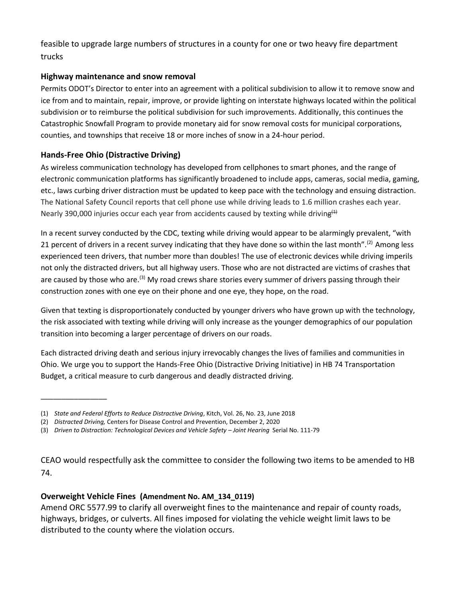feasible to upgrade large numbers of structures in a county for one or two heavy fire department trucks

# **Highway maintenance and snow removal**

Permits ODOT's Director to enter into an agreement with a political subdivision to allow it to remove snow and ice from and to maintain, repair, improve, or provide lighting on interstate highways located within the political subdivision or to reimburse the political subdivision for such improvements. Additionally, this continues the Catastrophic Snowfall Program to provide monetary aid for snow removal costs for municipal corporations, counties, and townships that receive 18 or more inches of snow in a 24-hour period.

# **Hands-Free Ohio (Distractive Driving)**

\_\_\_\_\_\_\_\_\_\_\_\_\_\_\_\_

As wireless communication technology has developed from cellphones to smart phones, and the range of electronic communication platforms has significantly broadened to include apps, cameras, social media, gaming, etc., laws curbing driver distraction must be updated to keep pace with the technology and ensuing distraction. The National Safety Council reports that cell phone use while driving leads to 1.6 million crashes each year. Nearly 390,000 injuries occur each year from accidents caused by texting while driving<sup>(1)</sup>

In a recent survey conducted by the CDC, texting while driving would appear to be alarmingly prevalent, "with 21 percent of drivers in a recent survey indicating that they have done so within the last month".<sup>(2)</sup> Among less experienced teen drivers, that number more than doubles! The use of electronic devices while driving imperils not only the distracted drivers, but all highway users. Those who are not distracted are victims of crashes that are caused by those who are.<sup>(3)</sup> My road crews share stories every summer of drivers passing through their construction zones with one eye on their phone and one eye, they hope, on the road.

Given that texting is disproportionately conducted by younger drivers who have grown up with the technology, the risk associated with texting while driving will only increase as the younger demographics of our population transition into becoming a larger percentage of drivers on our roads.

Each distracted driving death and serious injury irrevocably changes the lives of families and communities in Ohio. We urge you to support the Hands-Free Ohio (Distractive Driving Initiative) in HB 74 Transportation Budget, a critical measure to curb dangerous and deadly distracted driving.

# **Overweight Vehicle Fines (Amendment No. AM\_134\_0119)**

Amend ORC 5577.99 to clarify all overweight fines to the maintenance and repair of county roads, highways, bridges, or culverts. All fines imposed for violating the vehicle weight limit laws to be distributed to the county where the violation occurs.

<sup>(1)</sup> *State and Federal Efforts to Reduce Distractive Driving*, Kitch, Vol. 26, No. 23, June 2018

<sup>(2)</sup> *Distracted Driving,* Centers for Disease Control and Prevention, December 2, 2020

<sup>(3)</sup> *Driven to Distraction: Technological Devices and Vehicle Safety – Joint Hearing* Serial No. 111-79

CEAO would respectfully ask the committee to consider the following two items to be amended to HB 74.